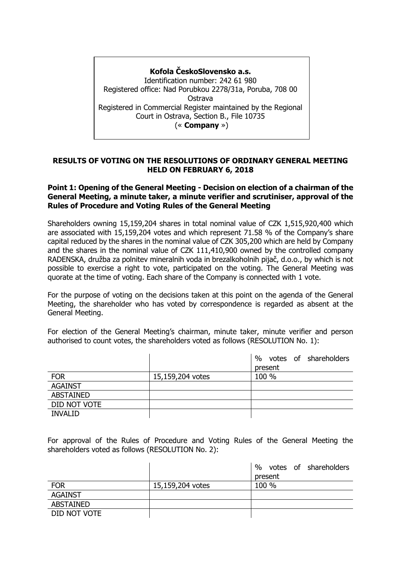# **Kofola ČeskoSlovensko a.s.** Identification number: 242 61 980 Registered office: Nad Porubkou 2278/31a, Poruba, 708 00 Ostrava Registered in Commercial Register maintained by the Regional Court in Ostrava, Section B., File 10735 (« **Company** »)

## **RESULTS OF VOTING ON THE RESOLUTIONS OF ORDINARY GENERAL MEETING HELD ON FEBRUARY 6, 2018**

### **Point 1: Opening of the General Meeting - Decision on election of a chairman of the General Meeting, a minute taker, a minute verifier and scrutiniser, approval of the Rules of Procedure and Voting Rules of the General Meeting**

Shareholders owning 15,159,204 shares in total nominal value of CZK 1,515,920,400 which are associated with 15,159,204 votes and which represent 71.58 % of the Company's share capital reduced by the shares in the nominal value of CZK 305,200 which are held by Company and the shares in the nominal value of CZK 111,410,900 owned by the controlled company RADENSKA, družba za polnitev mineralnih voda in brezalkoholnih pijač, d.o.o., by which is not possible to exercise a right to vote, participated on the voting. The General Meeting was quorate at the time of voting. Each share of the Company is connected with 1 vote.

For the purpose of voting on the decisions taken at this point on the agenda of the General Meeting, the shareholder who has voted by correspondence is regarded as absent at the General Meeting.

For election of the General Meeting's chairman, minute taker, minute verifier and person authorised to count votes, the shareholders voted as follows (RESOLUTION No. 1):

|                  |                  | $\%$<br>votes of shareholders |
|------------------|------------------|-------------------------------|
|                  |                  | present                       |
| <b>FOR</b>       | 15,159,204 votes | 100 %                         |
| <b>AGAINST</b>   |                  |                               |
| <b>ABSTAINED</b> |                  |                               |
| DID NOT VOTE     |                  |                               |
| <b>INVALID</b>   |                  |                               |

For approval of the Rules of Procedure and Voting Rules of the General Meeting the shareholders voted as follows (RESOLUTION No. 2):

|                  |                  | votes of shareholders<br>$\frac{0}{0}$ |
|------------------|------------------|----------------------------------------|
|                  |                  | present                                |
| <b>FOR</b>       | 15,159,204 votes | 100 %                                  |
| <b>AGAINST</b>   |                  |                                        |
| <b>ABSTAINED</b> |                  |                                        |
| DID NOT VOTE     |                  |                                        |